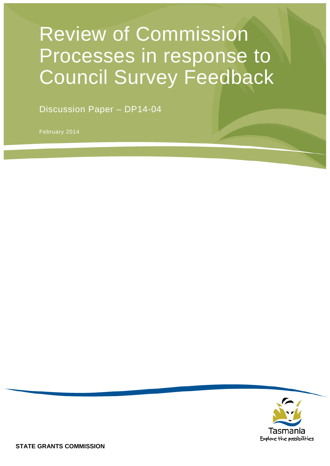# Review of Commission Processes in response to Council Survey Feedback

Discussion Paper – DP14-04

February 2014

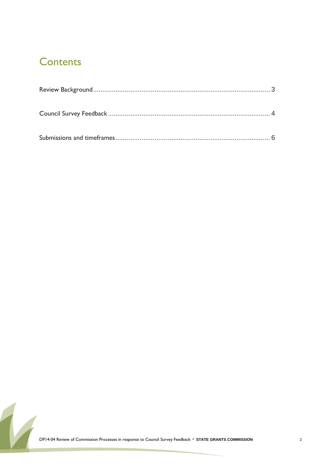### **Contents**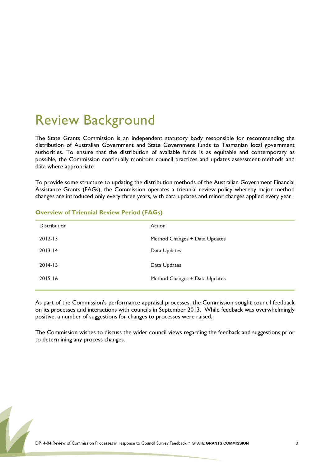# <span id="page-2-0"></span>Review Background

The State Grants Commission is an independent statutory body responsible for recommending the distribution of Australian Government and State Government funds to Tasmanian local government authorities. To ensure that the distribution of available funds is as equitable and contemporary as possible, the Commission continually monitors council practices and updates assessment methods and data where appropriate.

To provide some structure to updating the distribution methods of the Australian Government Financial Assistance Grants (FAGs), the Commission operates a triennial review policy whereby major method changes are introduced only every three years, with data updates and minor changes applied every year.

| <b>Distribution</b> | Action                        |
|---------------------|-------------------------------|
| $2012 - 13$         | Method Changes + Data Updates |
| $2013 - 14$         | Data Updates                  |
| $2014 - 15$         | Data Updates                  |
| $2015 - 16$         | Method Changes + Data Updates |
|                     |                               |

#### **Overview of Triennial Review Period (FAGs)**

As part of the Commission's performance appraisal processes, the Commission sought council feedback on its processes and interactions with councils in September 2013. While feedback was overwhelmingly positive, a number of suggestions for changes to processes were raised.

The Commission wishes to discuss the wider council views regarding the feedback and suggestions prior to determining any process changes.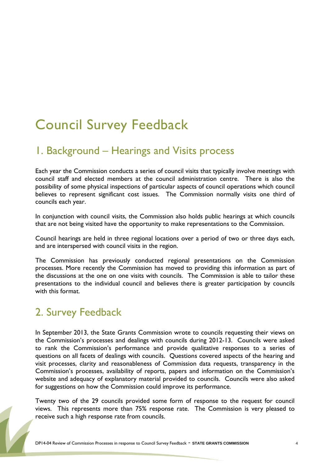# <span id="page-3-0"></span>Council Survey Feedback

#### 1. Background – Hearings and Visits process

Each year the Commission conducts a series of council visits that typically involve meetings with council staff and elected members at the council administration centre. There is also the possibility of some physical inspections of particular aspects of council operations which council believes to represent significant cost issues. The Commission normally visits one third of councils each year.

In conjunction with council visits, the Commission also holds public hearings at which councils that are not being visited have the opportunity to make representations to the Commission.

Council hearings are held in three regional locations over a period of two or three days each, and are interspersed with council visits in the region.

The Commission has previously conducted regional presentations on the Commission processes. More recently the Commission has moved to providing this information as part of the discussions at the one on one visits with councils. The Commission is able to tailor these presentations to the individual council and believes there is greater participation by councils with this format.

### 2. Survey Feedback

In September 2013, the State Grants Commission wrote to councils requesting their views on the Commission's processes and dealings with councils during 2012-13. Councils were asked to rank the Commission's performance and provide qualitative responses to a series of questions on all facets of dealings with councils. Questions covered aspects of the hearing and visit processes, clarity and reasonableness of Commission data requests, transparency in the Commission's processes, availability of reports, papers and information on the Commission's website and adequacy of explanatory material provided to councils. Councils were also asked for suggestions on how the Commission could improve its performance.

Twenty two of the 29 councils provided some form of response to the request for council views. This represents more than 75% response rate. The Commission is very pleased to receive such a high response rate from councils.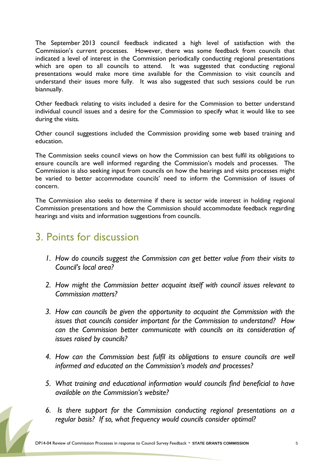The September 2013 council feedback indicated a high level of satisfaction with the Commission's current processes. However, there was some feedback from councils that indicated a level of interest in the Commission periodically conducting regional presentations which are open to all councils to attend. It was suggested that conducting regional presentations would make more time available for the Commission to visit councils and understand their issues more fully. It was also suggested that such sessions could be run biannually.

Other feedback relating to visits included a desire for the Commission to better understand individual council issues and a desire for the Commission to specify what it would like to see during the visits.

Other council suggestions included the Commission providing some web based training and education.

The Commission seeks council views on how the Commission can best fulfil its obligations to ensure councils are well informed regarding the Commission's models and processes. The Commission is also seeking input from councils on how the hearings and visits processes might be varied to better accommodate councils' need to inform the Commission of issues of concern.

The Commission also seeks to determine if there is sector wide interest in holding regional Commission presentations and how the Commission should accommodate feedback regarding hearings and visits and information suggestions from councils.

#### 3. Points for discussion

- *1. How do councils suggest the Commission can get better value from their visits to Council's local area?*
- *2. How might the Commission better acquaint itself with council issues relevant to Commission matters?*
- *3. How can councils be given the opportunity to acquaint the Commission with the issues that councils consider important for the Commission to understand? How can the Commission better communicate with councils on its consideration of issues raised by councils?*
- *4. How can the Commission best fulfil its obligations to ensure councils are well informed and educated on the Commission's models and processes?*
- *5. What training and educational information would councils find beneficial to have available on the Commission's website?*
- *6. Is there support for the Commission conducting regional presentations on a regular basis? If so, what frequency would councils consider optimal?*